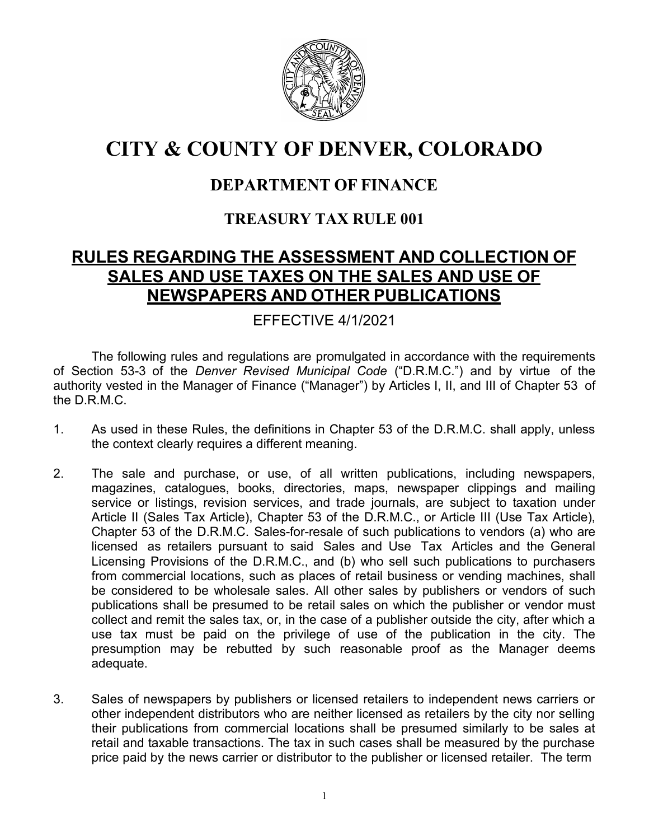

# **CITY & COUNTY OF DENVER, COLORADO**

# **DEPARTMENT OF FINANCE**

### **TREASURY TAX RULE 001**

# **RULES REGARDING THE ASSESSMENT AND COLLECTION OF SALES AND USE TAXES ON THE SALES AND USE OF NEWSPAPERS AND OTHER PUBLICATIONS**

### EFFECTIVE 4/1/2021

The following rules and regulations are promulgated in accordance with the requirements of Section 53-3 of the *Denver Revised Municipal Code* ("D.R.M.C.") and by virtue of the authority vested in the Manager of Finance ("Manager") by Articles I, II, and III of Chapter 53 of the D.R.M.C.

- 1. As used in these Rules, the definitions in Chapter 53 of the D.R.M.C. shall apply, unless the context clearly requires a different meaning.
- 2. The sale and purchase, or use, of all written publications, including newspapers, magazines, catalogues, books, directories, maps, newspaper clippings and mailing service or listings, revision services, and trade journals, are subject to taxation under Article II (Sales Tax Article), Chapter 53 of the D.R.M.C., or Article III (Use Tax Article), Chapter 53 of the D.R.M.C. Sales-for-resale of such publications to vendors (a) who are licensed as retailers pursuant to said Sales and Use Tax Articles and the General Licensing Provisions of the D.R.M.C., and (b) who sell such publications to purchasers from commercial locations, such as places of retail business or vending machines, shall be considered to be wholesale sales. All other sales by publishers or vendors of such publications shall be presumed to be retail sales on which the publisher or vendor must collect and remit the sales tax, or, in the case of a publisher outside the city, after which a use tax must be paid on the privilege of use of the publication in the city. The presumption may be rebutted by such reasonable proof as the Manager deems adequate.
- 3. Sales of newspapers by publishers or licensed retailers to independent news carriers or other independent distributors who are neither licensed as retailers by the city nor selling their publications from commercial locations shall be presumed similarly to be sales at retail and taxable transactions. The tax in such cases shall be measured by the purchase price paid by the news carrier or distributor to the publisher or licensed retailer. The term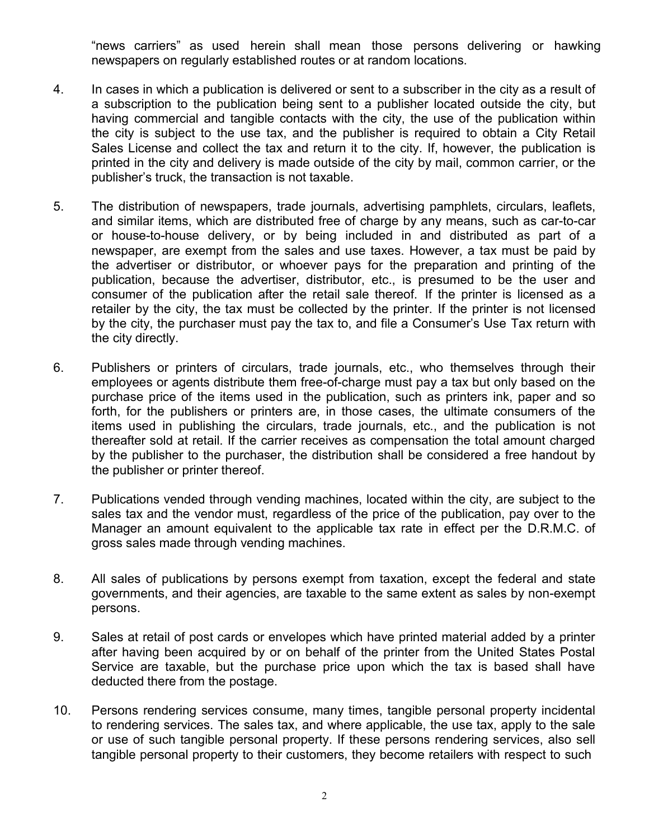"news carriers" as used herein shall mean those persons delivering or hawking newspapers on regularly established routes or at random locations.

- 4. In cases in which a publication is delivered or sent to a subscriber in the city as a result of a subscription to the publication being sent to a publisher located outside the city, but having commercial and tangible contacts with the city, the use of the publication within the city is subject to the use tax, and the publisher is required to obtain a City Retail Sales License and collect the tax and return it to the city. If, however, the publication is printed in the city and delivery is made outside of the city by mail, common carrier, or the publisher's truck, the transaction is not taxable.
- 5. The distribution of newspapers, trade journals, advertising pamphlets, circulars, leaflets, and similar items, which are distributed free of charge by any means, such as car-to-car or house-to-house delivery, or by being included in and distributed as part of a newspaper, are exempt from the sales and use taxes. However, a tax must be paid by the advertiser or distributor, or whoever pays for the preparation and printing of the publication, because the advertiser, distributor, etc., is presumed to be the user and consumer of the publication after the retail sale thereof. If the printer is licensed as a retailer by the city, the tax must be collected by the printer. If the printer is not licensed by the city, the purchaser must pay the tax to, and file a Consumer's Use Tax return with the city directly.
- 6. Publishers or printers of circulars, trade journals, etc., who themselves through their employees or agents distribute them free-of-charge must pay a tax but only based on the purchase price of the items used in the publication, such as printers ink, paper and so forth, for the publishers or printers are, in those cases, the ultimate consumers of the items used in publishing the circulars, trade journals, etc., and the publication is not thereafter sold at retail. If the carrier receives as compensation the total amount charged by the publisher to the purchaser, the distribution shall be considered a free handout by the publisher or printer thereof.
- 7. Publications vended through vending machines, located within the city, are subject to the sales tax and the vendor must, regardless of the price of the publication, pay over to the Manager an amount equivalent to the applicable tax rate in effect per the D.R.M.C. of gross sales made through vending machines.
- 8. All sales of publications by persons exempt from taxation, except the federal and state governments, and their agencies, are taxable to the same extent as sales by non-exempt persons.
- 9. Sales at retail of post cards or envelopes which have printed material added by a printer after having been acquired by or on behalf of the printer from the United States Postal Service are taxable, but the purchase price upon which the tax is based shall have deducted there from the postage.
- 10. Persons rendering services consume, many times, tangible personal property incidental to rendering services. The sales tax, and where applicable, the use tax, apply to the sale or use of such tangible personal property. If these persons rendering services, also sell tangible personal property to their customers, they become retailers with respect to such